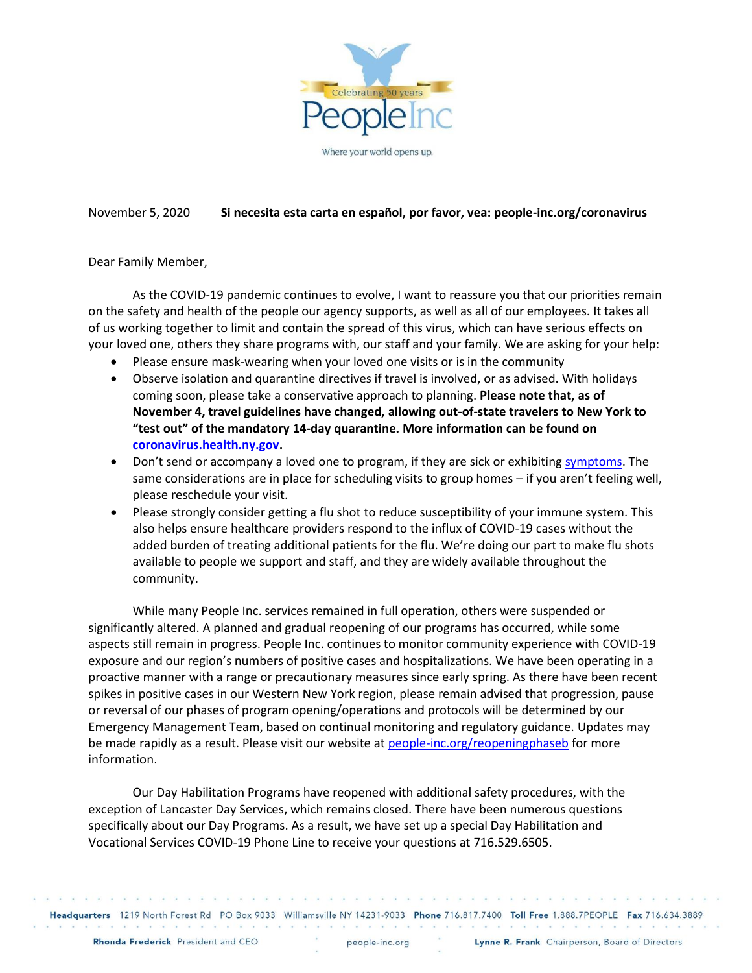

## November 5, 2020 **Si necesita esta carta en español, por favor, vea: people-inc.org/coronavirus**

Dear Family Member,

As the COVID-19 pandemic continues to evolve, I want to reassure you that our priorities remain on the safety and health of the people our agency supports, as well as all of our employees. It takes all of us working together to limit and contain the spread of this virus, which can have serious effects on your loved one, others they share programs with, our staff and your family. We are asking for your help:

- Please ensure mask-wearing when your loved one visits or is in the community
- Observe isolation and quarantine directives if travel is involved, or as advised. With holidays coming soon, please take a conservative approach to planning. **Please note that, as of November 4, travel guidelines have changed, allowing out-of-state travelers to New York to "test out" of the mandatory 14-day quarantine. More information can be found on [coronavirus.health.ny.gov.](https://coronavirus.health.ny.gov/covid-19-travel-advisory)**
- Don't send or accompany a loved one to program, if they are sick or exhibiting [symptoms.](https://www.cdc.gov/coronavirus/2019-ncov/symptoms-testing/symptoms.html) The same considerations are in place for scheduling visits to group homes – if you aren't feeling well, please reschedule your visit.
- Please strongly consider getting a flu shot to reduce susceptibility of your immune system. This also helps ensure healthcare providers respond to the influx of COVID-19 cases without the added burden of treating additional patients for the flu. We're doing our part to make flu shots available to people we support and staff, and they are widely available throughout the community.

While many People Inc. services remained in full operation, others were suspended or significantly altered. A planned and gradual reopening of our programs has occurred, while some aspects still remain in progress. People Inc. continues to monitor community experience with COVID-19 exposure and our region's numbers of positive cases and hospitalizations. We have been operating in a proactive manner with a range or precautionary measures since early spring. As there have been recent spikes in positive cases in our Western New York region, please remain advised that progression, pause or reversal of our phases of program opening/operations and protocols will be determined by our Emergency Management Team, based on continual monitoring and regulatory guidance. Updates may be made rapidly as a result. Please visit our website at [people-inc.org/reopeningphaseb](https://www.people-inc.org/news/2020/phased_reopening_update_-2020-10-14-2044/index.html) for more information.

Our Day Habilitation Programs have reopened with additional safety procedures, with the exception of Lancaster Day Services, which remains closed. There have been numerous questions specifically about our Day Programs. As a result, we have set up a special Day Habilitation and Vocational Services COVID-19 Phone Line to receive your questions at 716.529.6505.

a providence de la construcción de la caractería de la caractería de la caractería de la caractería de la caractería Headquarters 1219 North Forest Rd PO Box 9033 Williamsville NY 14231-9033 Phone 716.817.7400 Toll Free 1.888.7PEOPLE Fax 716.634.3889

 $\sim$ 

function of function of the function of the manufacture of the function of the function of the function of the manufacture of the